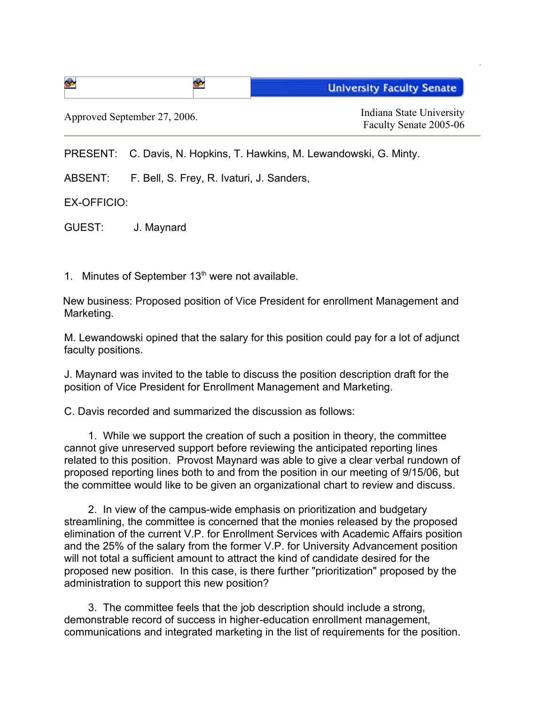| ട⊳                           | Ð | <b>University Faculty Senate</b>                   |
|------------------------------|---|----------------------------------------------------|
| Approved September 27, 2006. |   | Indiana State University<br>Faculty Senate 2005-06 |

PRESENT: C. Davis, N. Hopkins, T. Hawkins, M. Lewandowski, G. Minty.

ABSENT: F. Bell, S. Frey, R. Ivaturi, J. Sanders,

EX-OFFICIO:

GUEST: J. Maynard

1. Minutes of September  $13<sup>th</sup>$  were not available.

New business: Proposed position of Vice President for enrollment Management and Marketing.

M. Lewandowski opined that the salary for this position could pay for a lot of adjunct faculty positions.

J. Maynard was invited to the table to discuss the position description draft for the position of Vice President for Enrollment Management and Marketing.

C. Davis recorded and summarized the discussion as follows:

1. While we support the creation of such a position in theory, the committee cannot give unreserved support before reviewing the anticipated reporting lines related to this position. Provost Maynard was able to give a clear verbal rundown of proposed reporting lines both to and from the position in our meeting of 9/15/06, but the committee would like to be given an organizational chart to review and discuss.

2. In view of the campus-wide emphasis on prioritization and budgetary streamlining, the committee is concerned that the monies released by the proposed elimination of the current V.P. for Enrollment Services with Academic Affairs position and the 25% of the salary from the former V.P. for University Advancement position will not total a sufficient amount to attract the kind of candidate desired for the proposed new position. In this case, is there further "prioritization" proposed by the administration to support this new position?

3. The committee feels that the job description should include a strong, demonstrable record of success in higher-education enrollment management, communications and integrated marketing in the list of requirements for the position.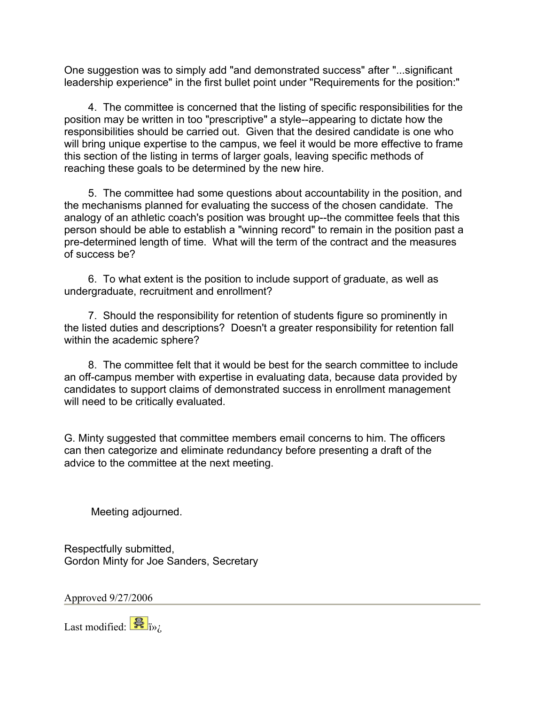One suggestion was to simply add "and demonstrated success" after "...significant leadership experience" in the first bullet point under "Requirements for the position:"

4. The committee is concerned that the listing of specific responsibilities for the position may be written in too "prescriptive" a style--appearing to dictate how the responsibilities should be carried out. Given that the desired candidate is one who will bring unique expertise to the campus, we feel it would be more effective to frame this section of the listing in terms of larger goals, leaving specific methods of reaching these goals to be determined by the new hire.

5. The committee had some questions about accountability in the position, and the mechanisms planned for evaluating the success of the chosen candidate. The analogy of an athletic coach's position was brought up--the committee feels that this person should be able to establish a "winning record" to remain in the position past a pre-determined length of time. What will the term of the contract and the measures of success be?

6. To what extent is the position to include support of graduate, as well as undergraduate, recruitment and enrollment?

7. Should the responsibility for retention of students figure so prominently in the listed duties and descriptions? Doesn't a greater responsibility for retention fall within the academic sphere?

8. The committee felt that it would be best for the search committee to include an off-campus member with expertise in evaluating data, because data provided by candidates to support claims of demonstrated success in enrollment management will need to be critically evaluated.

G. Minty suggested that committee members email concerns to him. The officers can then categorize and eliminate redundancy before presenting a draft of the advice to the committee at the next meeting.

Meeting adjourned.

Respectfully submitted, Gordon Minty for Joe Sanders, Secretary

Approved 9/27/2006

Last modified:  $\frac{1}{\mathbf{B}}$  i<sub>i</sub>